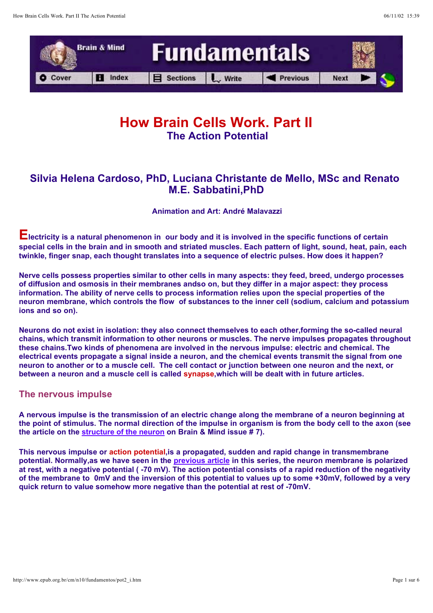

### **How Brain Cells Work. Part II The Action Potential**

### **Silvia Helena Cardoso, PhD, Luciana Christante de Mello, MSc and Renato M.E. Sabbatini,PhD**

**Animation and Art: André Malavazzi**

**Electricity is a natural phenomenon in our body and it is involved in the specific functions of certain special cells in the brain and in smooth and striated muscles. Each pattern of light, sound, heat, pain, each twinkle, finger snap, each thought translates into a sequence of electric pulses. How does it happen?**

**Nerve cells possess properties similar to other cells in many aspects: they feed, breed, undergo processes of diffusion and osmosis in their membranes andso on, but they differ in a major aspect: they process information. The ability of nerve cells to process information relies upon the special properties of the neuron membrane, which controls the flow of substances to the inner cell (sodium, calcium and potassium ions and so on).**

**Neurons do not exist in isolation: they also connect themselves to each other,forming the so-called neural chains, which transmit information to other neurons or muscles. The nerve impulses propagates throughout these chains.Two kinds of phenomena are involved in the nervous impulse: electric and chemical. The electrical events propagate a signal inside a neuron, and the chemical events transmit the signal from one neuron to another or to a muscle cell. The cell contact or junction between one neuron and the next, or between a neuron and a muscle cell is called synapse,which will be dealt with in future articles.**

#### **The nervous impulse**

**A nervous impulse is the transmission of an electric change along the membrane of a neuron beginning at the point of stimulus. The normal direction of the impulse in organism is from the body cell to the axon (see the article on the structure of the neuron on Brain & Mind issue # 7).**

**This nervous impulse or action potential,is a propagated, sudden and rapid change in transmembrane**  potential. Normally,as we have seen in the **previous article** in this series, the neuron membrane is polarized **at rest, with a negative potential ( -70 mV). The action potential consists of a rapid reduction of the negativity of the membrane to 0mV and the inversion of this potential to values up to some +30mV, followed by a very quick return to value somehow more negative than the potential at rest of -70mV.**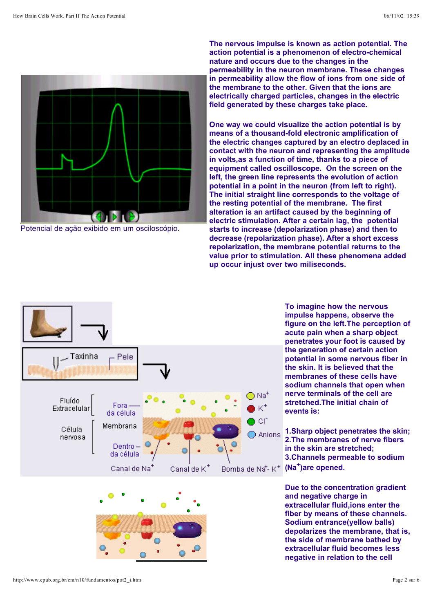

Potencial de ação exibido em um osciloscópio.

**The nervous impulse is known as action potential. The action potential is a phenomenon of electro-chemical nature and occurs due to the changes in the permeability in the neuron membrane. These changes in permeability allow the flow of ions from one side of the membrane to the other. Given that the ions are electrically charged particles, changes in the electric field generated by these charges take place.** 

**One way we could visualize the action potential is by means of a thousand-fold electronic amplification of the electric changes captured by an electro deplaced in contact with the neuron and representing the amplitude in volts,as a function of time, thanks to a piece of equipment called oscilloscope. On the screen on the left, the green line represents the evolution of action potential in a point in the neuron (from left to right). The initial straight line corresponds to the voltage of the resting potential of the membrane. The first alteration is an artifact caused by the beginning of electric stimulation. After a certain lag, the potential starts to increase (depolarization phase) and then to decrease (repolarization phase). After a short excess repolarization, the membrane potential returns to the value prior to stimulation. All these phenomena added up occur injust over two miliseconds.**



**impulse happens, observe the figure on the left.The perception of acute pain when a sharp object penetrates your foot is caused by the generation of certain action potential in some nervous fiber in the skin. It is believed that the membranes of these cells have sodium channels that open when nerve terminals of the cell are stretched.The initial chain of events is:** 

**To imagine how the nervous** 

**1.Sharp object penetrates the skin; 2.The membranes of nerve fibers in the skin are stretched; 3.Channels permeable to sodium** 

**Due to the concentration gradient and negative charge in extracellular fluid,ions enter the fiber by means of these channels. Sodium entrance(yellow balls) depolarizes the membrane, that is, the side of membrane bathed by extracellular fluid becomes less negative in relation to the cell**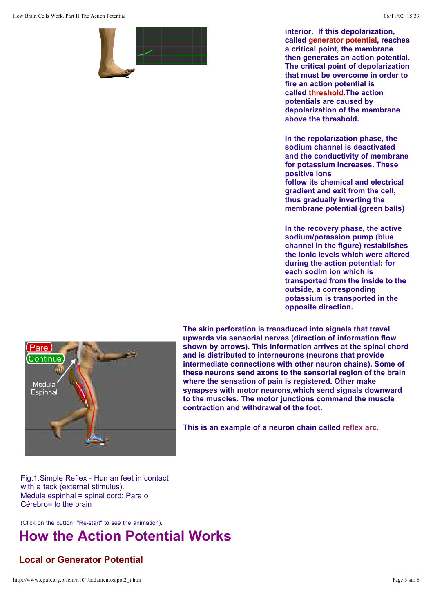

**interior. If this depolarization, called generator potential, reaches a critical point, the membrane then generates an action potential. The critical point of depolarization that must be overcome in order to fire an action potential is called threshold.The action potentials are caused by depolarization of the membrane above the threshold.** 

**In the repolarization phase, the sodium channel is deactivated and the conductivity of membrane for potassium increases. These positive ions follow its chemical and electrical gradient and exit from the cell, thus gradually inverting the membrane potential (green balls)** 

**In the recovery phase, the active sodium/potassion pump (blue channel in the figure) restablishes the ionic levels which were altered during the action potential: for each sodim ion which is transported from the inside to the outside, a corresponding potassium is transported in the opposite direction.**



**The skin perforation is transduced into signals that travel upwards via sensorial nerves (direction of information flow shown by arrows). This information arrives at the spinal chord and is distributed to interneurons (neurons that provide intermediate connections with other neuron chains). Some of these neurons send axons to the sensorial region of the brain where the sensation of pain is registered. Other make synapses with motor neurons,which send signals downward to the muscles. The motor junctions command the muscle contraction and withdrawal of the foot.** 

**This is an example of a neuron chain called reflex arc.**

Fig.1.Simple Reflex - Human feet in contact with a tack (external stimulus). Medula espinhal = spinal cord; Para o Cérebro= to the brain

(Click on the button "Re-start" to see the animation).

# **How the Action Potential Works**

#### **Local or Generator Potential**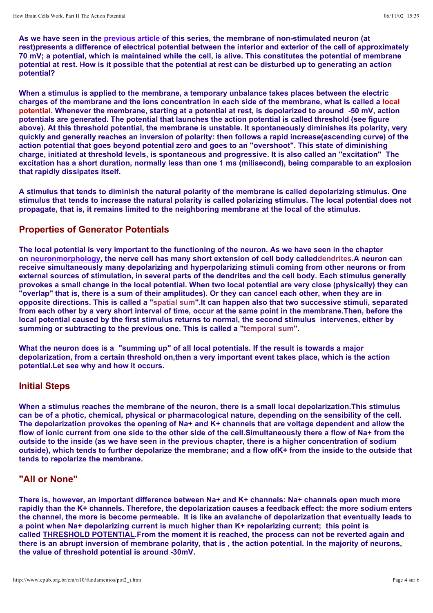As we have seen in the <u>previous article</u> of this series, the membrane of non-stimulated neuron (at **rest)presents a difference of electrical potential between the interior and exterior of the cell of approximately 70 mV; a potential, which is maintained while the cell, is alive. This constitutes the potential of membrane potential at rest. How is it possible that the potential at rest can be disturbed up to generating an action potential?**

**When a stimulus is applied to the membrane, a temporary unbalance takes places between the electric charges of the membrane and the ions concentration in each side of the membrane, what is called a local potential. Whenever the membrane, starting at a potential at rest, is depolarized to around -50 mV, action potentials are generated. The potential that launches the action potential is called threshold (see figure above). At this threshold potential, the membrane is unstable. It spontaneously diminishes its polarity, very quickly and generally reaches an inversion of polarity: then follows a rapid increase(ascending curve) of the action potential that goes beyond potential zero and goes to an "overshoot". This state of diminishing charge, initiated at threshold levels, is spontaneous and progressive. It is also called an "excitation" The excitation has a short duration, normally less than one 1 ms (milisecond), being comparable to an explosion that rapidly dissipates itself.**

**A stimulus that tends to diminish the natural polarity of the membrane is called depolarizing stimulus. One stimulus that tends to increase the natural polarity is called polarizing stimulus. The local potential does not propagate, that is, it remains limited to the neighboring membrane at the local of the stimulus.**

#### **Properties of Generator Potentials**

**The local potential is very important to the functioning of the neuron. As we have seen in the chapter on neuronmorphology, the nerve cell has many short extension of cell body calleddendrites.A neuron can receive simultaneously many depolarizing and hyperpolarizing stimuli coming from other neurons or from external sources of stimulation, in several parts of the dendrites and the cell body. Each stimulus generally provokes a small change in the local potential. When two local potential are very close (physically) they can "overlap" that is, there is a sum of their amplitudes). Or they can cancel each other, when they are in opposite directions. This is called a "spatial sum".It can happen also that two successive stimuli, separated from each other by a very short interval of time, occur at the same point in the membrane.Then, before the local potential caused by the first stimulus returns to normal, the second stimulus intervenes, either by summing or subtracting to the previous one. This is called a "temporal sum".**

**What the neuron does is a "summing up" of all local potentials. If the result is towards a major depolarization, from a certain threshold on,then a very important event takes place, which is the action potential.Let see why and how it occurs.**

#### **Initial Steps**

**When a stimulus reaches the membrane of the neuron, there is a small local depolarization.This stimulus can be of a photic, chemical, physical or pharmacological nature, depending on the sensibility of the cell. The depolarization provokes the opening of Na+ and K+ channels that are voltage dependent and allow the flow of ionic current from one side to the other side of the cell.Simultaneously there a flow of Na+ from the outside to the inside (as we have seen in the previous chapter, there is a higher concentration of sodium outside), which tends to further depolarize the membrane; and a flow ofK+ from the inside to the outside that tends to repolarize the membrane.**

#### **"All or None"**

**There is, however, an important difference between Na+ and K+ channels: Na+ channels open much more rapidly than the K+ channels. Therefore, the depolarization causes a feedback effect: the more sodium enters the channel, the more is become permeable. It is like an avalanche of depolarization that eventually leads to a point when Na+ depolarizing current is much higher than K+ repolarizing current; this point is**  called **THRESHOLD POTENTIAL**.From the moment it is reached, the process can not be reverted again and **there is an abrupt inversion of membrane polarity, that is , the action potential. In the majority of neurons, the value of threshold potential is around -30mV.**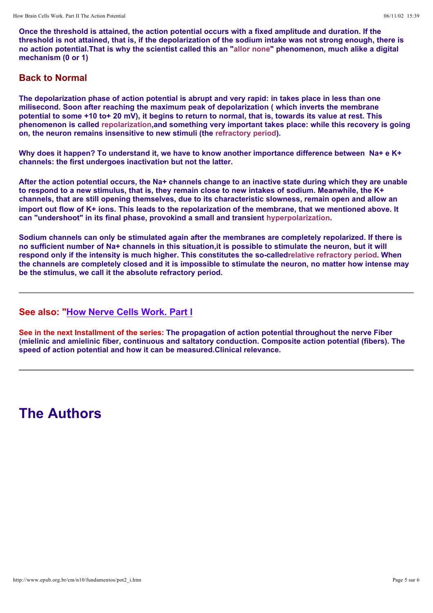**Once the threshold is attained, the action potential occurs with a fixed amplitude and duration. If the threshold is not attained, that is, if the depolarization of the sodium intake was not strong enough, there is no action potential.That is why the scientist called this an "allor none" phenomenon, much alike a digital mechanism (0 or 1)**

#### **Back to Normal**

**The depolarization phase of action potential is abrupt and very rapid: in takes place in less than one milisecond. Soon after reaching the maximum peak of depolarization ( which inverts the membrane potential to some +10 to+ 20 mV), it begins to return to normal, that is, towards its value at rest. This phenomenon is called repolarization,and something very important takes place: while this recovery is going on, the neuron remains insensitive to new stimuli (the refractory period).**

**Why does it happen? To understand it, we have to know another importance difference between Na+ e K+ channels: the first undergoes inactivation but not the latter.**

**After the action potential occurs, the Na+ channels change to an inactive state during which they are unable to respond to a new stimulus, that is, they remain close to new intakes of sodium. Meanwhile, the K+ channels, that are still opening themselves, due to its characteristic slowness, remain open and allow an import out flow of K+ ions. This leads to the repolarization of the membrane, that we mentioned above. It can "undershoot" in its final phase, provokind a small and transient hyperpolarization.**

**Sodium channels can only be stimulated again after the membranes are completely repolarized. If there is no sufficient number of Na+ channels in this situation,it is possible to stimulate the neuron, but it will respond only if the intensity is much higher. This constitutes the so-calledrelative refractory period. When the channels are completely closed and it is impossible to stimulate the neuron, no matter how intense may be the stimulus, we call it the absolute refractory period.**

#### **See also: "How Nerve Cells Work. Part I**

**See in the next Installment of the series: The propagation of action potential throughout the nerve Fiber (mielinic and amielinic fiber, continuous and saltatory conduction. Composite action potential (fibers). The speed of action potential and how it can be measured.Clinical relevance.**

## **The Authors**